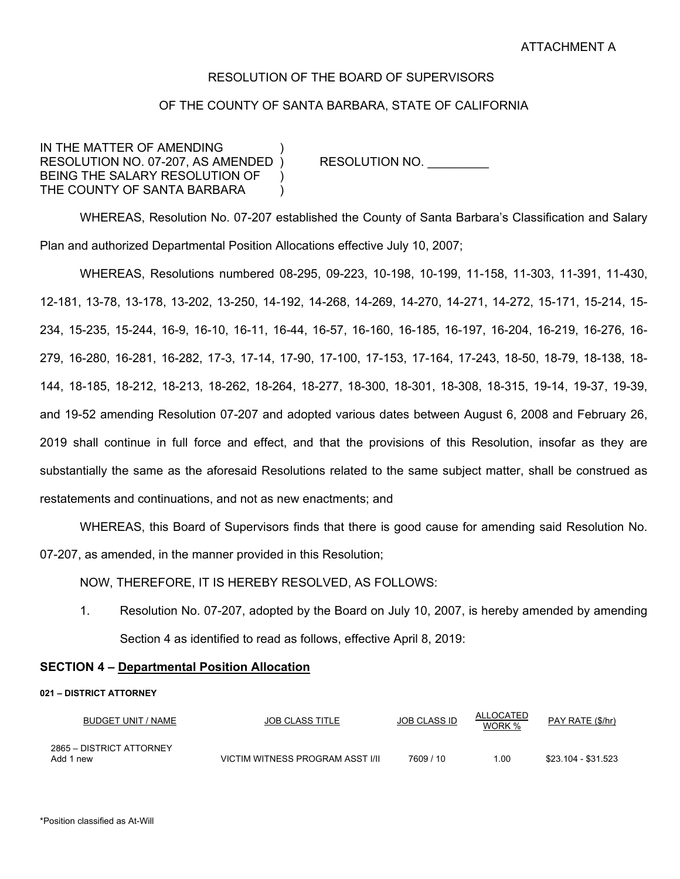## RESOLUTION OF THE BOARD OF SUPERVISORS

# OF THE COUNTY OF SANTA BARBARA, STATE OF CALIFORNIA

IN THE MATTER OF AMENDING RESOLUTION NO. 07-207, AS AMENDED ) RESOLUTION NO. BEING THE SALARY RESOLUTION OF THE COUNTY OF SANTA BARBARA

 WHEREAS, Resolution No. 07-207 established the County of Santa Barbara's Classification and Salary Plan and authorized Departmental Position Allocations effective July 10, 2007;

WHEREAS, Resolutions numbered 08-295, 09-223, 10-198, 10-199, 11-158, 11-303, 11-391, 11-430, 12-181, 13-78, 13-178, 13-202, 13-250, 14-192, 14-268, 14-269, 14-270, 14-271, 14-272, 15-171, 15-214, 15- 234, 15-235, 15-244, 16-9, 16-10, 16-11, 16-44, 16-57, 16-160, 16-185, 16-197, 16-204, 16-219, 16-276, 16- 279, 16-280, 16-281, 16-282, 17-3, 17-14, 17-90, 17-100, 17-153, 17-164, 17-243, 18-50, 18-79, 18-138, 18- 144, 18-185, 18-212, 18-213, 18-262, 18-264, 18-277, 18-300, 18-301, 18-308, 18-315, 19-14, 19-37, 19-39, and 19-52 amending Resolution 07-207 and adopted various dates between August 6, 2008 and February 26, 2019 shall continue in full force and effect, and that the provisions of this Resolution, insofar as they are substantially the same as the aforesaid Resolutions related to the same subject matter, shall be construed as restatements and continuations, and not as new enactments; and

 WHEREAS, this Board of Supervisors finds that there is good cause for amending said Resolution No. 07-207, as amended, in the manner provided in this Resolution;

NOW, THEREFORE, IT IS HEREBY RESOLVED, AS FOLLOWS:

1. Resolution No. 07-207, adopted by the Board on July 10, 2007, is hereby amended by amending Section 4 as identified to read as follows, effective April 8, 2019:

## **SECTION 4 – Departmental Position Allocation**

### **021 – DISTRICT ATTORNEY**

| BUDGET UNIT / NAME                    | JOB CLASS TITLE                  | <b>JOB CLASS ID</b> | ALLOCATED<br>WORK % | PAY RATE (\$/hr)    |
|---------------------------------------|----------------------------------|---------------------|---------------------|---------------------|
| 2865 - DISTRICT ATTORNEY<br>Add 1 new | VICTIM WITNESS PROGRAM ASST I/II | 7609/10             | 1.00                | \$23.104 - \$31.523 |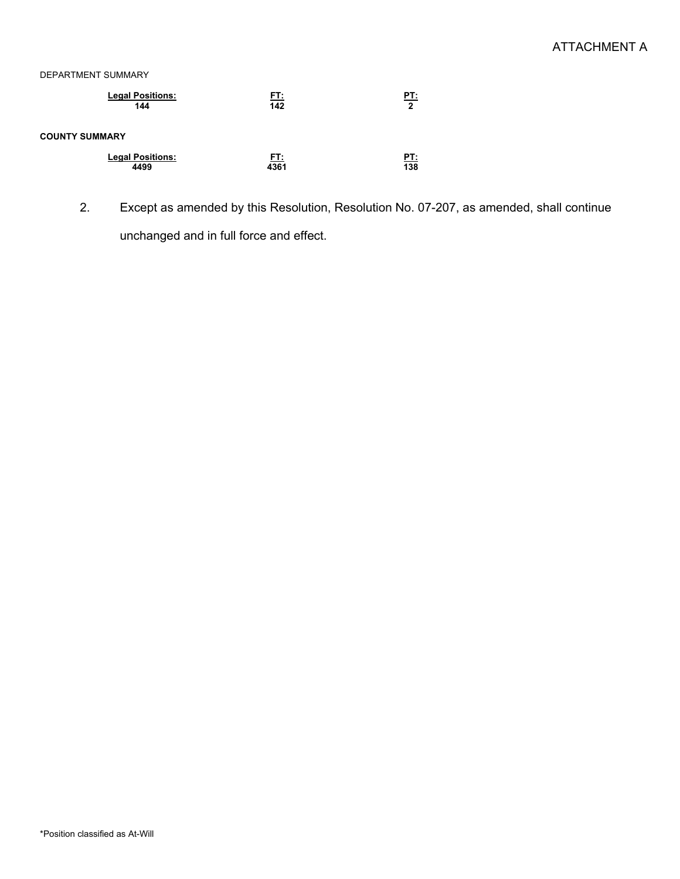### DEPARTMENT SUMMARY

| <b>Legal Positions:</b> | <u>FT:</u> | PT:              |
|-------------------------|------------|------------------|
| 144                     | 142        | $\mathbf{2}$     |
| <b>COUNTY SUMMARY</b>   |            |                  |
| <b>Legal Positions:</b> | <u>ET:</u> | <u>PT:</u>       |
| 4499                    | 4361       | $\overline{138}$ |

2. Except as amended by this Resolution, Resolution No. 07-207, as amended, shall continue unchanged and in full force and effect.